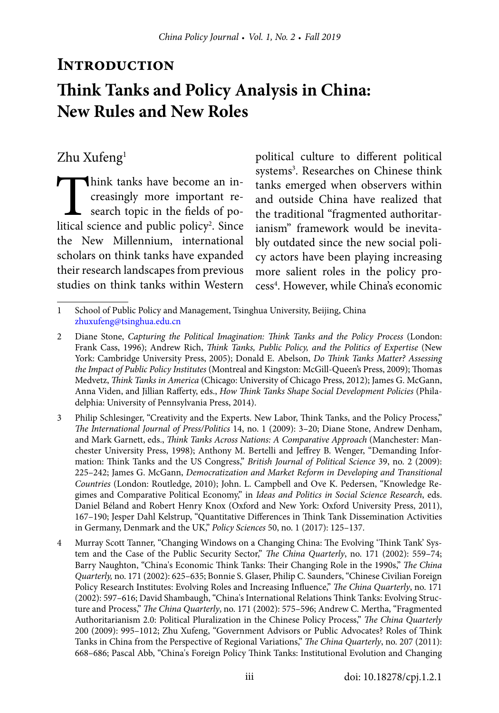# **INTRODUCTION Think Tanks and Policy Analysis in China: New Rules and New Roles**

## Zhu Xufeng<sup>1</sup>

Think tanks have become an in-<br>creasingly more important re-<br>search topic in the fields of po-<br>litical science and public policy<sup>2</sup>. Since creasingly more important research topic in the fields of political science and public policy<sup>2</sup>. Since the New Millennium, international scholars on think tanks have expanded their research landscapes from previous studies on think tanks within Western

political culture to different political systems<sup>3</sup>. Researches on Chinese think tanks emerged when observers within and outside China have realized that the traditional "fragmented authoritarianism" framework would be inevitably outdated since the new social policy actors have been playing increasing more salient roles in the policy process<sup>4</sup>. However, while China's economic

<sup>1</sup> School of Public Policy and Management, Tsinghua University, Beijing, China [zhuxufeng@tsinghua.edu.cn](mailto:zhuxufeng%40tsinghua.edu.cn?subject=)

<sup>2</sup> Diane Stone, *Capturing the Political Imagination: Think Tanks and the Policy Process* (London: Frank Cass, 1996); Andrew Rich, *Think Tanks, Public Policy, and the Politics of Expertise* (New York: Cambridge University Press, 2005); Donald E. Abelson, *Do Think Tanks Matter? Assessing the Impact of Public Policy Institutes* (Montreal and Kingston: McGill-Queen's Press, 2009); Thomas Medvetz, *Think Tanks in America* (Chicago: University of Chicago Press, 2012); James G. McGann, Anna Viden, and Jillian Rafferty, eds., *How Think Tanks Shape Social Development Policies* (Philadelphia: University of Pennsylvania Press, 2014).

<sup>3</sup> Philip Schlesinger, "Creativity and the Experts. New Labor, Think Tanks, and the Policy Process," *The International Journal of Press/Politics* 14, no. 1 (2009): 3–20; Diane Stone, Andrew Denham, and Mark Garnett, eds., *Think Tanks Across Nations: A Comparative Approach* (Manchester: Manchester University Press, 1998); Anthony M. Bertelli and Jeffrey B. Wenger, "Demanding Information: Think Tanks and the US Congress," *British Journal of Political Science* 39, no. 2 (2009): 225–242; James G. McGann, *Democratization and Market Reform in Developing and Transitional Countries* (London: Routledge, 2010); John. L. Campbell and Ove K. Pedersen, "Knowledge Regimes and Comparative Political Economy," in *Ideas and Politics in Social Science Research*, eds. Daniel Béland and Robert Henry Knox (Oxford and New York: Oxford University Press, 2011), 167–190; Jesper Dahl Kelstrup, "Quantitative Differences in Think Tank Dissemination Activities in Germany, Denmark and the UK," *Policy Sciences* 50, no. 1 (2017): 125–137.

<sup>4</sup> Murray Scott Tanner, "Changing Windows on a Changing China: The Evolving 'Think Tank' System and the Case of the Public Security Sector," *The China Quarterly*, no. 171 (2002): 559–74; Barry Naughton, "China's Economic Think Tanks: Their Changing Role in the 1990s," *The China Quarterly,* no. 171 (2002): 625–635; Bonnie S. Glaser, Philip C. Saunders, "Chinese Civilian Foreign Policy Research Institutes: Evolving Roles and Increasing Influence," *The China Quarterly*, no. 171 (2002): 597–616; David Shambaugh, "China's International Relations Think Tanks: Evolving Structure and Process," *The China Quarterly*, no. 171 (2002): 575–596; Andrew C. Mertha, "Fragmented Authoritarianism 2.0: Political Pluralization in the Chinese Policy Process," *The China Quarterly* 200 (2009): 995–1012; Zhu Xufeng, "Government Advisors or Public Advocates? Roles of Think Tanks in China from the Perspective of Regional Variations," *The China Quarterly*, no. 207 (2011): 668–686; Pascal Abb, "China's Foreign Policy Think Tanks: Institutional Evolution and Changing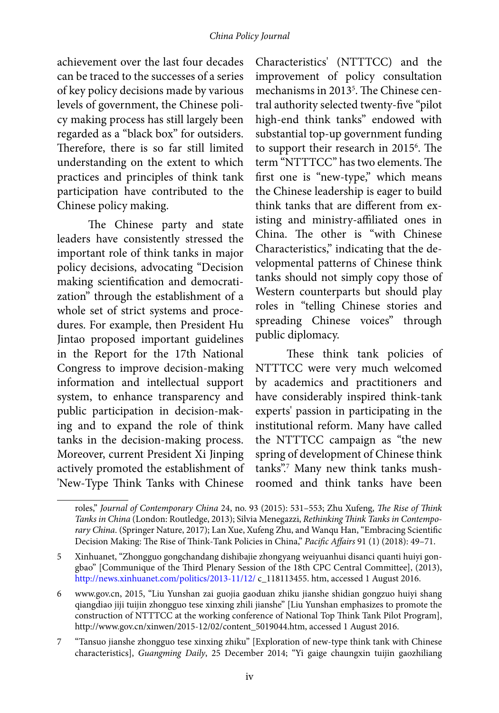### *China Policy Journal*

achievement over the last four decades can be traced to the successes of a series of key policy decisions made by various levels of government, the Chinese policy making process has still largely been regarded as a "black box" for outsiders. Therefore, there is so far still limited understanding on the extent to which practices and principles of think tank participation have contributed to the Chinese policy making.

The Chinese party and state leaders have consistently stressed the important role of think tanks in major policy decisions, advocating "Decision making scientification and democratization" through the establishment of a whole set of strict systems and procedures. For example, then President Hu Jintao proposed important guidelines in the Report for the 17th National Congress to improve decision-making information and intellectual support system, to enhance transparency and public participation in decision-making and to expand the role of think tanks in the decision-making process. Moreover, current President Xi Jinping actively promoted the establishment of 'New-Type Think Tanks with Chinese

Characteristics' (NTTTCC) and the improvement of policy consultation mechanisms in 2013<sup>5</sup>. The Chinese central authority selected twenty-five "pilot high-end think tanks" endowed with substantial top-up government funding to support their research in 2015<sup>6</sup>. The term "NTTTCC" has two elements. The first one is "new-type," which means the Chinese leadership is eager to build think tanks that are different from existing and ministry-affiliated ones in China. The other is "with Chinese Characteristics," indicating that the developmental patterns of Chinese think tanks should not simply copy those of Western counterparts but should play roles in "telling Chinese stories and spreading Chinese voices" through public diplomacy.

These think tank policies of NTTTCC were very much welcomed by academics and practitioners and have considerably inspired think-tank experts' passion in participating in the institutional reform. Many have called the NTTTCC campaign as "the new spring of development of Chinese think tanks".7 Many new think tanks mushroomed and think tanks have been

roles," *Journal of Contemporary China* 24, no. 93 (2015): 531–553; Zhu Xufeng, *The Rise of Think Tanks in China* (London: Routledge, 2013); Silvia Menegazzi, *Rethinking Think Tanks in Contemporary China*. (Springer Nature, 2017); Lan Xue, Xufeng Zhu, and Wanqu Han, "Embracing Scientific Decision Making: The Rise of Think-Tank Policies in China," *Pacific Affairs* 91 (1) (2018): 49–71.

<sup>5</sup> Xinhuanet, "Zhongguo gongchandang dishibajie zhongyang weiyuanhui disanci quanti huiyi gongbao" [Communique of the Third Plenary Session of the 18th CPC Central Committee], (2013), <http://news.xinhuanet.com/politics/2013-11/12/> c\_118113455. htm, accessed 1 August 2016.

<sup>6</sup> www.gov.cn, 2015, "Liu Yunshan zai guojia gaoduan zhiku jianshe shidian gongzuo huiyi shang qiangdiao jiji tuijin zhongguo tese xinxing zhili jianshe" [Liu Yunshan emphasizes to promote the construction of NTTTCC at the working conference of National Top Think Tank Pilot Program], http://www.gov.cn/xinwen/2015-12/02/content\_5019044.htm, accessed 1 August 2016.

<sup>7</sup> "Tansuo jianshe zhongguo tese xinxing zhiku" [Exploration of new-type think tank with Chinese characteristics], *Guangming Daily*, 25 December 2014; "Yi gaige chaungxin tuijin gaozhiliang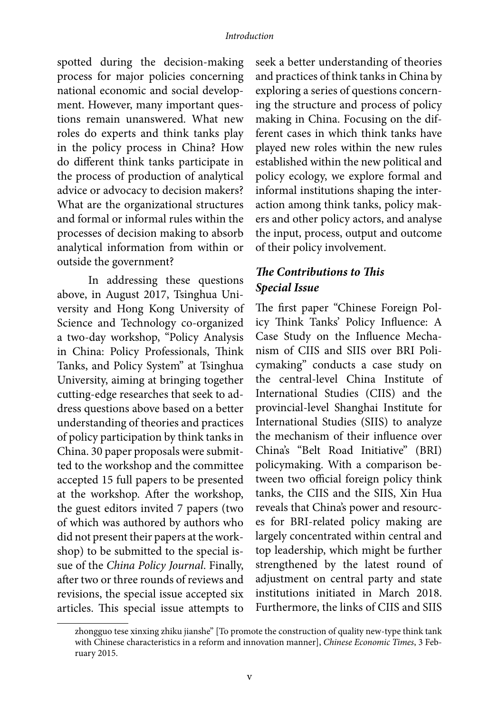spotted during the decision-making process for major policies concerning national economic and social development. However, many important questions remain unanswered. What new roles do experts and think tanks play in the policy process in China? How do different think tanks participate in the process of production of analytical advice or advocacy to decision makers? What are the organizational structures and formal or informal rules within the processes of decision making to absorb analytical information from within or outside the government?

In addressing these questions above, in August 2017, Tsinghua University and Hong Kong University of Science and Technology co-organized a two-day workshop, "Policy Analysis in China: Policy Professionals, Think Tanks, and Policy System" at Tsinghua University, aiming at bringing together cutting-edge researches that seek to address questions above based on a better understanding of theories and practices of policy participation by think tanks in China. 30 paper proposals were submitted to the workshop and the committee accepted 15 full papers to be presented at the workshop. After the workshop, the guest editors invited 7 papers (two of which was authored by authors who did not present their papers at the workshop) to be submitted to the special issue of the *China Policy Journal*. Finally, after two or three rounds of reviews and revisions, the special issue accepted six articles. This special issue attempts to

seek a better understanding of theories and practices of think tanks in China by exploring a series of questions concerning the structure and process of policy making in China. Focusing on the different cases in which think tanks have played new roles within the new rules established within the new political and policy ecology, we explore formal and informal institutions shaping the interaction among think tanks, policy makers and other policy actors, and analyse the input, process, output and outcome of their policy involvement.

## *The Contributions to This Special Issue*

The first paper "Chinese Foreign Policy Think Tanks' Policy Influence: A Case Study on the Influence Mechanism of CIIS and SIIS over BRI Policymaking" conducts a case study on the central-level China Institute of International Studies (CIIS) and the provincial-level Shanghai Institute for International Studies (SIIS) to analyze the mechanism of their influence over China's "Belt Road Initiative" (BRI) policymaking. With a comparison between two official foreign policy think tanks, the CIIS and the SIIS, Xin Hua reveals that China's power and resources for BRI-related policy making are largely concentrated within central and top leadership, which might be further strengthened by the latest round of adjustment on central party and state institutions initiated in March 2018. Furthermore, the links of CIIS and SIIS

zhongguo tese xinxing zhiku jianshe" [To promote the construction of quality new-type think tank with Chinese characteristics in a reform and innovation manner], *Chinese Economic Times*, 3 February 2015.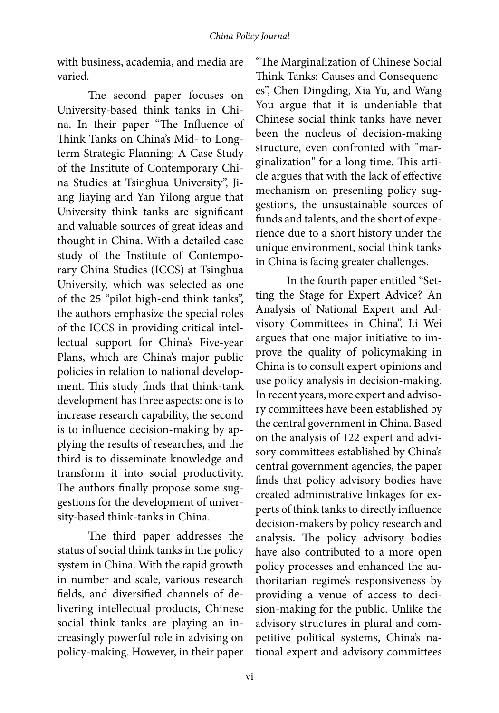with business, academia, and media are varied.

The second paper focuses on University-based think tanks in China. In their paper "The Influence of Think Tanks on China's Mid- to Longterm Strategic Planning: A Case Study of the Institute of Contemporary China Studies at Tsinghua University", Jiang Jiaying and Yan Yilong argue that University think tanks are significant and valuable sources of great ideas and thought in China. With a detailed case study of the Institute of Contemporary China Studies (ICCS) at Tsinghua University, which was selected as one of the 25 "pilot high-end think tanks", the authors emphasize the special roles of the ICCS in providing critical intellectual support for China's Five-year Plans, which are China's major public policies in relation to national development. This study finds that think-tank development has three aspects: one is to increase research capability, the second is to influence decision-making by applying the results of researches, and the third is to disseminate knowledge and transform it into social productivity. The authors finally propose some suggestions for the development of university-based think-tanks in China.

The third paper addresses the status of social think tanks in the policy system in China. With the rapid growth in number and scale, various research fields, and diversified channels of delivering intellectual products, Chinese social think tanks are playing an increasingly powerful role in advising on policy-making. However, in their paper

"The Marginalization of Chinese Social Think Tanks: Causes and Consequences", Chen Dingding, Xia Yu, and Wang You argue that it is undeniable that Chinese social think tanks have never been the nucleus of decision-making structure, even confronted with "marginalization" for a long time. This article argues that with the lack of effective mechanism on presenting policy suggestions, the unsustainable sources of funds and talents, and the short of experience due to a short history under the unique environment, social think tanks in China is facing greater challenges.

In the fourth paper entitled "Setting the Stage for Expert Advice? An Analysis of National Expert and Advisory Committees in China", Li Wei argues that one major initiative to improve the quality of policymaking in China is to consult expert opinions and use policy analysis in decision-making. In recent years, more expert and advisory committees have been established by the central government in China. Based on the analysis of 122 expert and advisory committees established by China's central government agencies, the paper finds that policy advisory bodies have created administrative linkages for experts of think tanks to directly influence decision-makers by policy research and analysis. The policy advisory bodies have also contributed to a more open policy processes and enhanced the authoritarian regime's responsiveness by providing a venue of access to decision-making for the public. Unlike the advisory structures in plural and competitive political systems, China's national expert and advisory committees